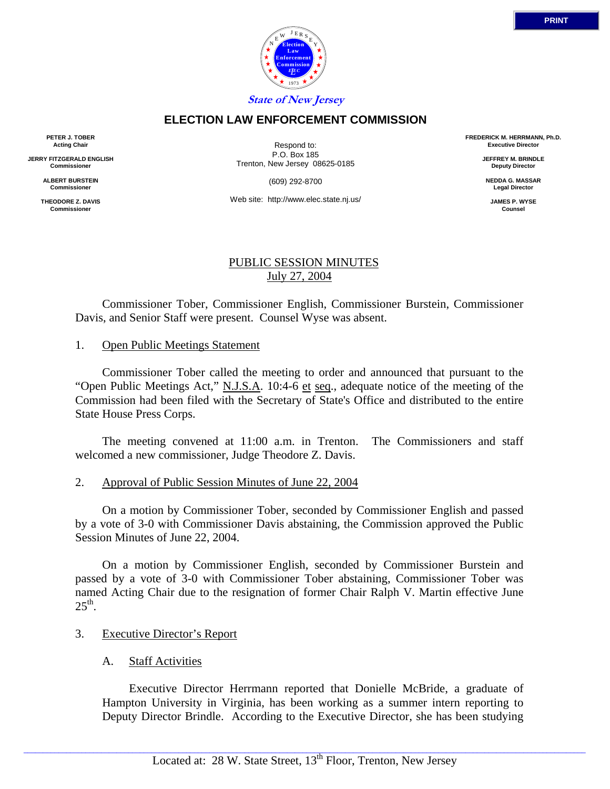

### **ELECTION LAW ENFORCEMENT COMMISSION**

**PETER J. TOBER Acting Chair**

**JERRY FITZGERALD ENGLISH Commissioner**

> **ALBERT BURSTEIN Commissioner**

**THEODORE Z. DAVIS Commissioner**

Respond to: P.O. Box 185 Trenton, New Jersey 08625-0185

(609) 292-8700

Web site: http://www.elec.state.nj.us/

#### PUBLIC SESSION MINUTES July 27, 2004

 Commissioner Tober, Commissioner English, Commissioner Burstein, Commissioner Davis, and Senior Staff were present. Counsel Wyse was absent.

#### 1. Open Public Meetings Statement

 Commissioner Tober called the meeting to order and announced that pursuant to the "Open Public Meetings Act," N.J.S.A. 10:4-6 et seq., adequate notice of the meeting of the Commission had been filed with the Secretary of State's Office and distributed to the entire State House Press Corps.

 The meeting convened at 11:00 a.m. in Trenton. The Commissioners and staff welcomed a new commissioner, Judge Theodore Z. Davis.

#### 2. Approval of Public Session Minutes of June 22, 2004

 On a motion by Commissioner Tober, seconded by Commissioner English and passed by a vote of 3-0 with Commissioner Davis abstaining, the Commission approved the Public Session Minutes of June 22, 2004.

 On a motion by Commissioner English, seconded by Commissioner Burstein and passed by a vote of 3-0 with Commissioner Tober abstaining, Commissioner Tober was named Acting Chair due to the resignation of former Chair Ralph V. Martin effective June  $25<sup>th</sup>$ .

#### 3. Executive Director's Report

#### A. Staff Activities

 Executive Director Herrmann reported that Donielle McBride, a graduate of Hampton University in Virginia, has been working as a summer intern reporting to Deputy Director Brindle. According to the Executive Director, she has been studying

**FREDERICK M. HERRMANN, Ph.D. Executive Director JEFFREY M. BRINDLE Deputy Director NEDDA G. MASSAR Legal Director JAMES P. WYSE Counsel**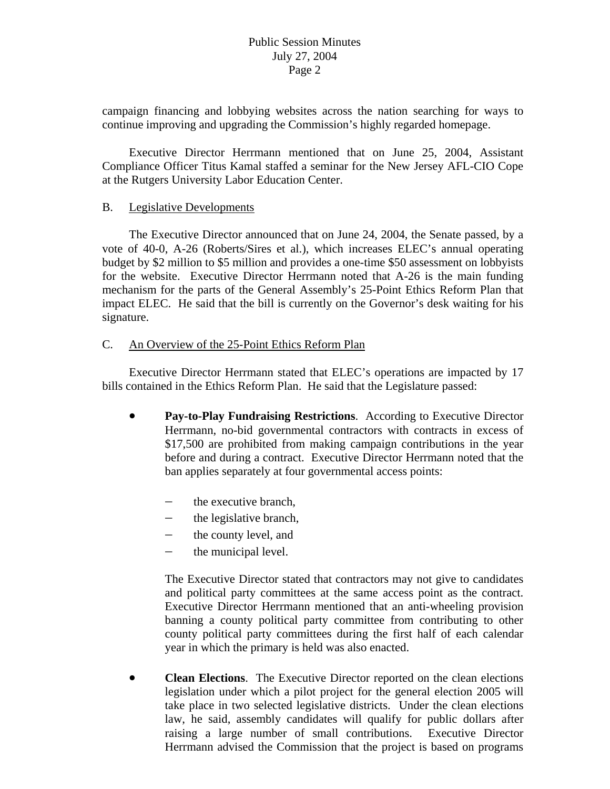campaign financing and lobbying websites across the nation searching for ways to continue improving and upgrading the Commission's highly regarded homepage.

 Executive Director Herrmann mentioned that on June 25, 2004, Assistant Compliance Officer Titus Kamal staffed a seminar for the New Jersey AFL-CIO Cope at the Rutgers University Labor Education Center.

### B. Legislative Developments

 The Executive Director announced that on June 24, 2004, the Senate passed, by a vote of 40-0, A-26 (Roberts/Sires et al.), which increases ELEC's annual operating budget by \$2 million to \$5 million and provides a one-time \$50 assessment on lobbyists for the website. Executive Director Herrmann noted that A-26 is the main funding mechanism for the parts of the General Assembly's 25-Point Ethics Reform Plan that impact ELEC. He said that the bill is currently on the Governor's desk waiting for his signature.

# C. An Overview of the 25-Point Ethics Reform Plan

 Executive Director Herrmann stated that ELEC's operations are impacted by 17 bills contained in the Ethics Reform Plan. He said that the Legislature passed:

- **Pay-to-Play Fundraising Restrictions**. According to Executive Director Herrmann, no-bid governmental contractors with contracts in excess of \$17,500 are prohibited from making campaign contributions in the year before and during a contract. Executive Director Herrmann noted that the ban applies separately at four governmental access points:
	- − the executive branch,
	- − the legislative branch,
	- − the county level, and
	- − the municipal level.

county political party committees during the first half of each calendar year in which the primary is held was also enacted. The Executive Director stated that contractors may not give to candidates and political party committees at the same access point as the contract. Executive Director Herrmann mentioned that an anti-wheeling provision banning a county political party committee from contributing to other

• **Clean Elections**. The Executive Director reported on the clean elections legislation under which a pilot project for the general election 2005 will take place in two selected legislative districts. Under the clean elections law, he said, assembly candidates will qualify for public dollars after raising a large number of small contributions. Executive Director Herrmann advised the Commission that the project is based on programs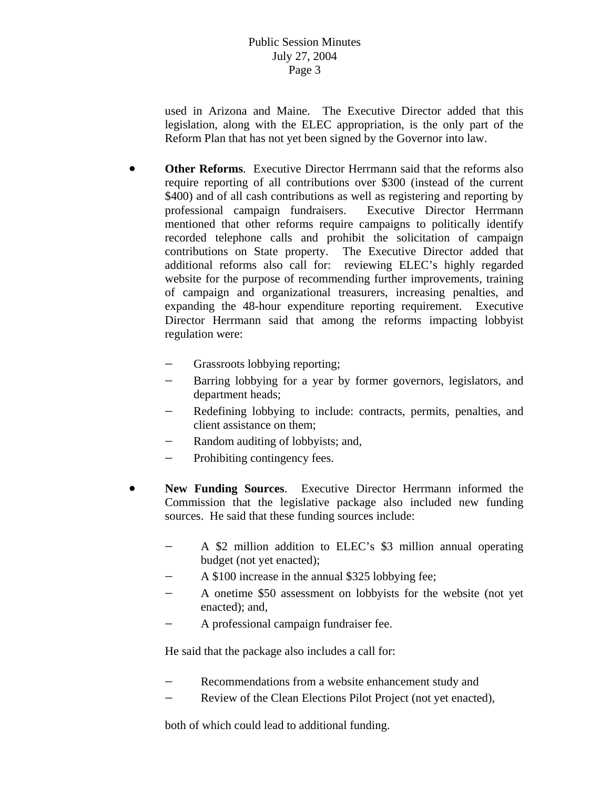legislation, along with the ELEC appropriation, is the only part of the Reform Plan that has not yet been signed by the Governor into law. used in Arizona and Maine. The Executive Director added that this

- Director Herrmann said that among the reforms impacting lobbyist regulation were: • **Other Reforms**. Executive Director Herrmann said that the reforms also require reporting of all contributions over \$300 (instead of the current \$400) and of all cash contributions as well as registering and reporting by professional campaign fundraisers. Executive Director Herrmann mentioned that other reforms require campaigns to politically identify recorded telephone calls and prohibit the solicitation of campaign contributions on State property. The Executive Director added that additional reforms also call for: reviewing ELEC's highly regarded website for the purpose of recommending further improvements, training of campaign and organizational treasurers, increasing penalties, and expanding the 48-hour expenditure reporting requirement. Executive
	- − Grassroots lobbying reporting;
	- − Barring lobbying for a year by former governors, legislators, and department heads;
	- − Redefining lobbying to include: contracts, permits, penalties, and client assistance on them;
	- Random auditing of lobbyists; and,
	- − Prohibiting contingency fees.
- **New Funding Sources**. Executive Director Herrmann informed the Commission that the legislative package also included new funding sources. He said that these funding sources include:
	- − A \$2 million addition to ELEC's \$3 million annual operating budget (not yet enacted);
	- − A \$100 increase in the annual \$325 lobbying fee;
	- A onetime \$50 assessment on lobbyists for the website (not yet enacted); and,
	- − A professional campaign fundraiser fee.

He said that the package also includes a call for:

- − Recommendations from a website enhancement study and
- − Review of the Clean Elections Pilot Project (not yet enacted),

both of which could lead to additional funding.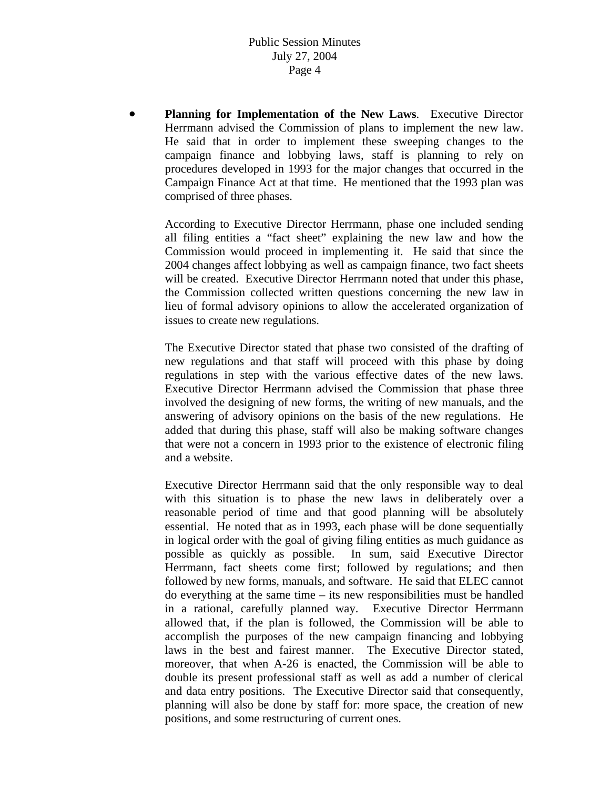He said that in order to implement these sweeping changes to the campaign finance and lobbying laws, staff is planning to rely on • **Planning for Implementation of the New Laws**. Executive Director Herrmann advised the Commission of plans to implement the new law. procedures developed in 1993 for the major changes that occurred in the Campaign Finance Act at that time. He mentioned that the 1993 plan was comprised of three phases.

2004 changes affect lobbying as well as campaign finance, two fact sheets will be created. Executive Director Herrmann noted that under this phase, According to Executive Director Herrmann, phase one included sending all filing entities a "fact sheet" explaining the new law and how the Commission would proceed in implementing it. He said that since the the Commission collected written questions concerning the new law in lieu of formal advisory opinions to allow the accelerated organization of issues to create new regulations.

involved the designing of new forms, the writing of new manuals, and the nswering of advisory opinions on the basis of the new regulations. He a The Executive Director stated that phase two consisted of the drafting of new regulations and that staff will proceed with this phase by doing regulations in step with the various effective dates of the new laws. Executive Director Herrmann advised the Commission that phase three added that during this phase, staff will also be making software changes that were not a concern in 1993 prior to the existence of electronic filing and a website.

moreover, that when A-26 is enacted, the Commission will be able to double its present professional staff as well as add a number of clerical Executive Director Herrmann said that the only responsible way to deal with this situation is to phase the new laws in deliberately over a reasonable period of time and that good planning will be absolutely essential. He noted that as in 1993, each phase will be done sequentially in logical order with the goal of giving filing entities as much guidance as possible as quickly as possible. In sum, said Executive Director Herrmann, fact sheets come first; followed by regulations; and then followed by new forms, manuals, and software. He said that ELEC cannot do everything at the same time – its new responsibilities must be handled in a rational, carefully planned way. Executive Director Herrmann allowed that, if the plan is followed, the Commission will be able to accomplish the purposes of the new campaign financing and lobbying laws in the best and fairest manner. The Executive Director stated, and data entry positions. The Executive Director said that consequently, planning will also be done by staff for: more space, the creation of new positions, and some restructuring of current ones.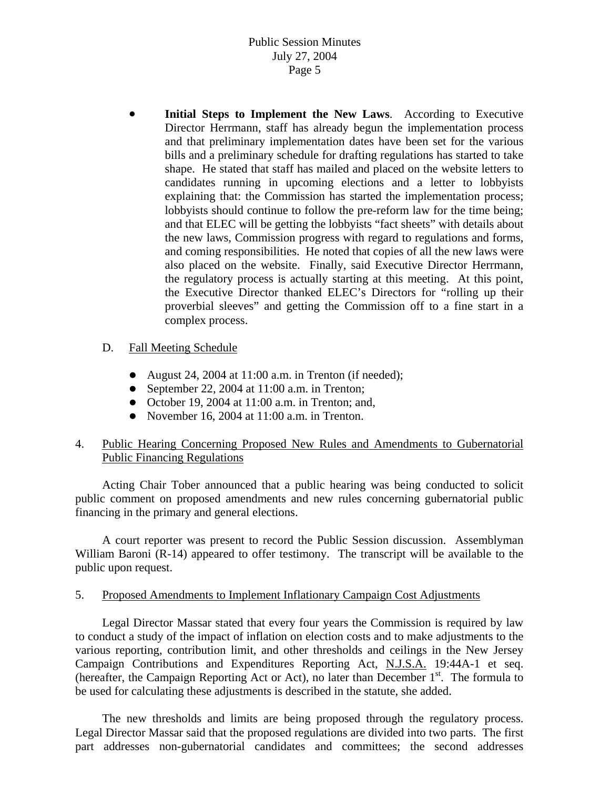and coming responsibilities. He noted that copies of all the new laws were also placed on the website. Finally, said Executive Director Herrmann, the regulatory process is actually starting at this meeting. At this point, the Executive Director thanked ELEC's Directors for "rolling up their proverbial sleeves" and getting the Commission off to a fine start in a • **Initial Steps to Implement the New Laws**. According to Executive Director Herrmann, staff has already begun the implementation process and that preliminary implementation dates have been set for the various bills and a preliminary schedule for drafting regulations has started to take shape. He stated that staff has mailed and placed on the website letters to candidates running in upcoming elections and a letter to lobbyists explaining that: the Commission has started the implementation process; lobbyists should continue to follow the pre-reform law for the time being; and that ELEC will be getting the lobbyists "fact sheets" with details about the new laws, Commission progress with regard to regulations and forms, complex process.

### D. Fall Meeting Schedule

- August 24, 2004 at  $11:00$  a.m. in Trenton (if needed);
- September 22, 2004 at  $11:00$  a.m. in Trenton;
- $\bullet$  October 19, 2004 at 11:00 a.m. in Trenton; and,
- November 16, 2004 at  $11:00$  a.m. in Trenton.

# 4. Public Hearing Concerning Proposed New Rules and Amendments to Gubernatorial Public Financing Regulations

public comment on proposed amendments and new rules concerning gubernatorial public financing in the primary and general elections. Acting Chair Tober announced that a public hearing was being conducted to solicit

A court reporter was present to record the Public Session discussion. Assemblyman William Baroni (R-14) appeared to offer testimony. The transcript will be available to the public upon request.

### 5. Proposed Amendments to Implement Inflationary Campaign Cost Adjustments

 Legal Director Massar stated that every four years the Commission is required by law to conduct a study of the impact of inflation on election costs and to make adjustments to the various reporting, contribution limit, and other thresholds and ceilings in the New Jersey Campaign Contributions and Expenditures Reporting Act, N.J.S.A. 19:44A-1 et seq. (hereafter, the Campaign Reporting Act or Act), no later than December  $1<sup>st</sup>$ . The formula to be used for calculating these adjustments is described in the statute, she added.

 The new thresholds and limits are being proposed through the regulatory process. Legal Director Massar said that the proposed regulations are divided into two parts. The first part addresses non-gubernatorial candidates and committees; the second addresses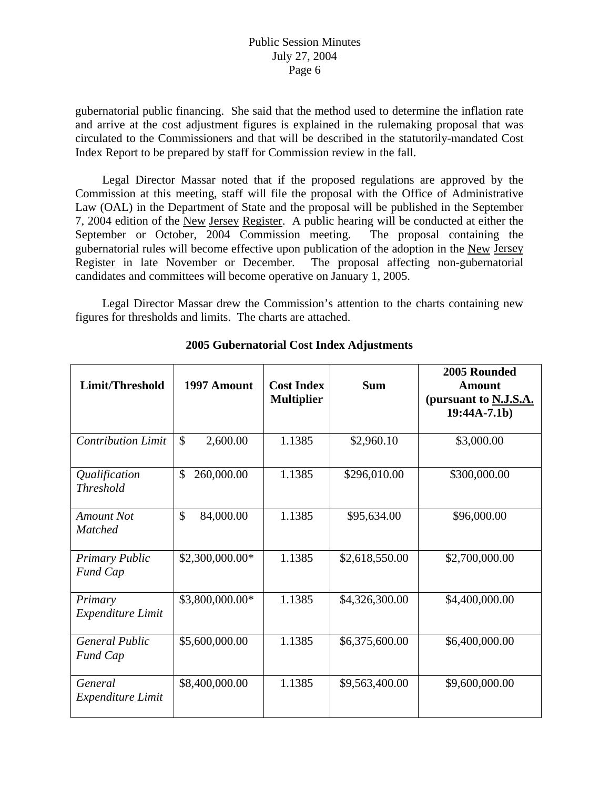gubernatorial public financing. She said that the method used to determine the inflation rate and arrive at the cost adjustment figures is explained in the rulemaking proposal that was circulated to the Commissioners and that will be described in the statutorily-mandated Cost Index Report to be prepared by staff for Commission review in the fall.

Law (OAL) in the Department of State and the proposal will be published in the September 7, 2004 edition of the New Jersey Register. A public hearing will be conducted at either the Legal Director Massar noted that if the proposed regulations are approved by the Commission at this meeting, staff will file the proposal with the Office of Administrative gubernatorial rules will become effective upon publication of the adoption in the New Jersey September or October, 2004 Commission meeting. The proposal containing the Register in late November or December. The proposal affecting non-gubernatorial candidates and committees will become operative on January 1, 2005.

 Legal Director Massar drew the Commission's attention to the chart s containing new figures for thresholds and limits. The charts are attached.

| Limit/Threshold                          | 1997 Amount               | <b>Cost Index</b><br><b>Multiplier</b> | <b>Sum</b>     | 2005 Rounded<br><b>Amount</b><br>(pursuant to N.J.S.A.<br>$19:44A-7.1b)$ |
|------------------------------------------|---------------------------|----------------------------------------|----------------|--------------------------------------------------------------------------|
| <b>Contribution Limit</b>                | $\mathsf{\$}$<br>2,600.00 | 1.1385                                 | \$2,960.10     | \$3,000.00                                                               |
| Qualification<br><b>Threshold</b>        | \$<br>260,000.00          | 1.1385                                 | \$296,010.00   | \$300,000.00                                                             |
| Amount Not<br><b>Matched</b>             | \$<br>84,000.00           | 1.1385                                 | \$95,634.00    | \$96,000.00                                                              |
| <b>Primary Public</b><br>Fund Cap        | \$2,300,000.00*           | 1.1385                                 | \$2,618,550.00 | \$2,700,000.00                                                           |
| Primary<br>Expenditure Limit             | \$3,800,000.00*           | 1.1385                                 | \$4,326,300.00 | \$4,400,000.00                                                           |
| <b>General Public</b><br><b>Fund Cap</b> | \$5,600,000.00            | 1.1385                                 | \$6,375,600.00 | \$6,400,000.00                                                           |
| General<br><b>Expenditure Limit</b>      | \$8,400,000.00            | 1.1385                                 | \$9,563,400.00 | \$9,600,000.00                                                           |

**2005 Gubernatorial Cost Index Adjustments**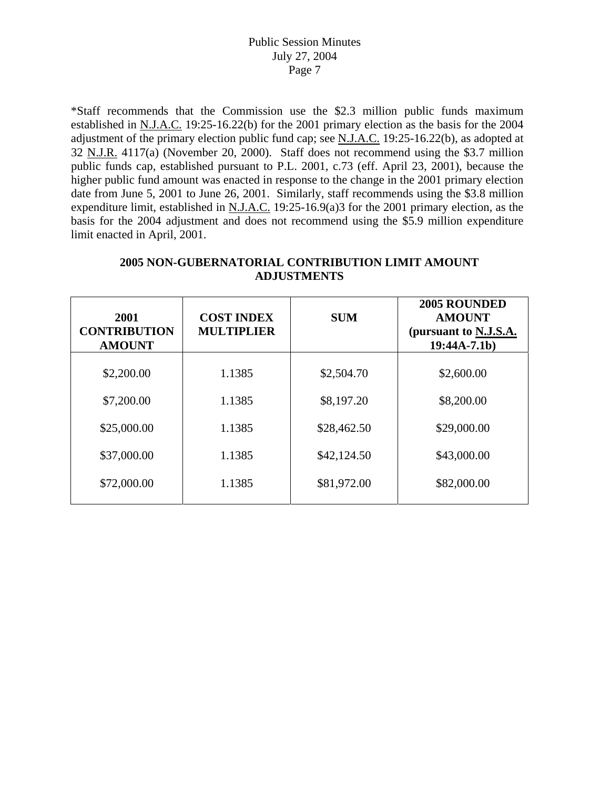\*Staff recommends that the Commission use the \$2.3 million public funds maximum established in N.J.A.C. 19:25-16.22(b) for the 2001 primary election as the basis for the 2004 adjustment of the primary election public fund cap; see N.J.A.C. 19:25-16.22(b), as adopted at 32 N.J.R. 4117(a) (November 20, 2000). Staff does not recommend using the \$3.7 million public funds cap, established pursuant to P.L. 2001, c.73 (eff. April 23, 2001), because the higher public fund amount was enacted in response to the change in the 2001 primary election date from June 5, 2001 to June 26, 2001. Similarly, staff recommends using the \$3.8 million expenditure limit, established in N.J.A.C. 19:25-16.9(a)3 for the 2001 primary election, as the basis for the 2004 adjustment and does not recommend using the \$5.9 million expenditure limit enacted in April, 2001.

| 2001<br><b>CONTRIBUTION</b><br><b>AMOUNT</b> | <b>COST INDEX</b><br><b>MULTIPLIER</b> | <b>SUM</b>  | 2005 ROUNDED<br><b>AMOUNT</b><br>(pursuant to N.J.S.A.<br>$19:44A-7.1b)$ |
|----------------------------------------------|----------------------------------------|-------------|--------------------------------------------------------------------------|
| \$2,200.00                                   | 1.1385                                 | \$2,504.70  | \$2,600.00                                                               |
| \$7,200.00                                   | 1.1385                                 | \$8,197.20  | \$8,200.00                                                               |
| \$25,000.00                                  | 1.1385                                 | \$28,462.50 | \$29,000.00                                                              |
| \$37,000.00                                  | 1.1385                                 | \$42,124.50 | \$43,000.00                                                              |
| \$72,000.00                                  | 1.1385                                 | \$81,972.00 | \$82,000.00                                                              |

# **2005 NON-GUBERNATORIAL CONTRIBUTION LIMIT AMOUNT ADJUSTMENTS**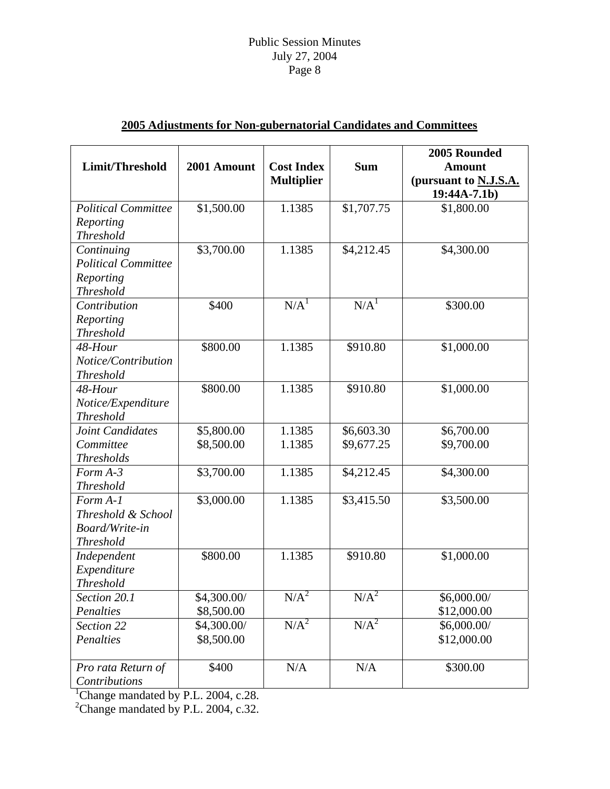|                            |             |                   |                  | 2005 Rounded          |
|----------------------------|-------------|-------------------|------------------|-----------------------|
| Limit/Threshold            | 2001 Amount | <b>Cost Index</b> | <b>Sum</b>       | <b>Amount</b>         |
|                            |             | <b>Multiplier</b> |                  | (pursuant to N.J.S.A. |
|                            |             |                   |                  | $19:44A-7.1b)$        |
| <b>Political Committee</b> | \$1,500.00  | 1.1385            | \$1,707.75       | \$1,800.00            |
| Reporting                  |             |                   |                  |                       |
| <b>Threshold</b>           |             |                   |                  |                       |
| Continuing                 | \$3,700.00  | 1.1385            | \$4,212.45       | \$4,300.00            |
| <b>Political Committee</b> |             |                   |                  |                       |
| Reporting                  |             |                   |                  |                       |
| <b>Threshold</b>           |             |                   |                  |                       |
| Contribution               | \$400       | N/A <sup>1</sup>  | N/A <sup>1</sup> | \$300.00              |
| Reporting                  |             |                   |                  |                       |
| <b>Threshold</b>           |             |                   |                  |                       |
| 48-Hour                    | \$800.00    | 1.1385            | \$910.80         | \$1,000.00            |
| Notice/Contribution        |             |                   |                  |                       |
| <b>Threshold</b>           |             |                   |                  |                       |
| 48-Hour                    | \$800.00    | 1.1385            | \$910.80         | \$1,000.00            |
| Notice/Expenditure         |             |                   |                  |                       |
| <b>Threshold</b>           |             |                   |                  |                       |
| Joint Candidates           | \$5,800.00  | 1.1385            | \$6,603.30       | \$6,700.00            |
| Committee                  | \$8,500.00  | 1.1385            | \$9,677.25       | \$9,700.00            |
| <b>Thresholds</b>          |             |                   |                  |                       |
| $Form A-3$                 | \$3,700.00  | 1.1385            | \$4,212.45       | \$4,300.00            |
| <b>Threshold</b>           |             |                   |                  |                       |
| Form A-1                   | \$3,000.00  | 1.1385            | \$3,415.50       | \$3,500.00            |
| Threshold & School         |             |                   |                  |                       |
| Board/Write-in             |             |                   |                  |                       |
| <b>Threshold</b>           |             |                   |                  |                       |
| Independent                | \$800.00    | 1.1385            | \$910.80         | \$1,000.00            |
| Expenditure                |             |                   |                  |                       |
| <b>Threshold</b>           |             |                   |                  |                       |
| Section 20.1               | \$4,300.00/ | $N/A^2$           | $N/A^2$          | \$6,000.00/           |
| Penalties                  | \$8,500.00  |                   |                  | \$12,000.00           |
| Section 22                 | \$4,300.00/ | $N/A^2$           | $N/A^2$          | \$6,000.00/           |
| Penalties                  | \$8,500.00  |                   |                  | \$12,000.00           |
|                            |             |                   |                  |                       |
| Pro rata Return of         | \$400       | N/A               | N/A              | \$300.00              |
| Contributions              |             |                   |                  |                       |

# **2005 Adjustments for Non-gubernatorial Candidates and Committees**

*Contributions*  1 Change mandated by P.L. 2004, c.28. 2 Change mandated by P.L. 2004, c.32.